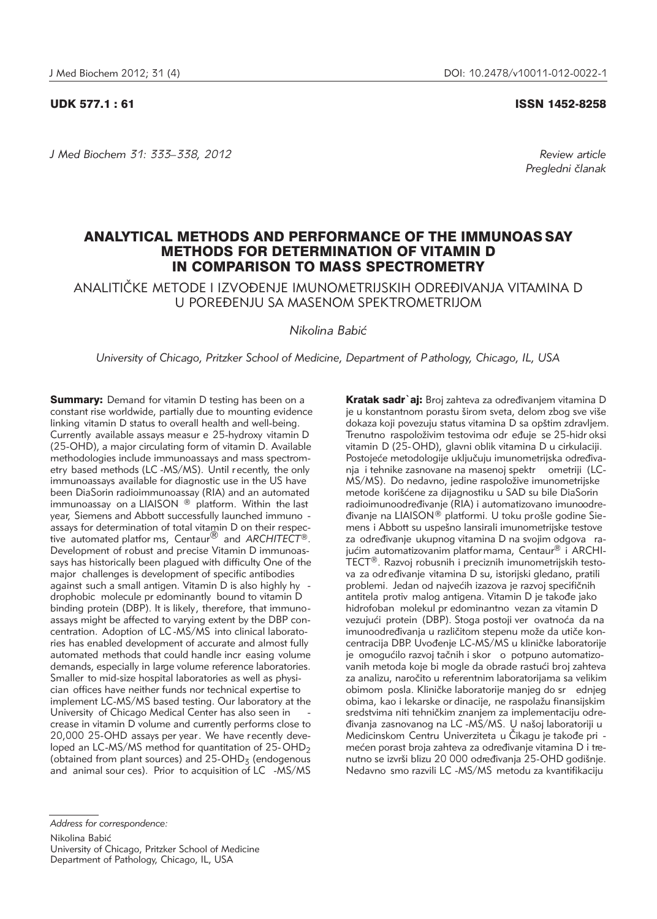*J Med Biochem 31: 333–338, 2012 Review article*

UDK 577.1 : 61 ISSN 1452-8258

*Pregledni ~lanak*

# ANALYTICAL METHODS AND PERFORMANCE OF THE IMMUNOAS SAY METHODS FOR DETERMINATION OF VITAMIN D IN COMPARISON TO MASS SPECTROMETRY

ANALITI^KE METODE I IZVO\ENJE IMUNOMETRIJSKIH ODRE\IVANJA VITAMINA D U POREĐENJU SA MASENOM SPEKTROMETRIJOM

*Nikolina Babi}*

*University of Chicago, Pritzker School of Medicine, Department of Pathology, Chicago, IL, USA*

**Summary:** Demand for vitamin D testing has been on a constant rise worldwide, partially due to mounting evidence linking vitamin D status to overall health and well-being. Currently available assays measur e 25-hydroxy vitamin D (25-OHD), a major circulating form of vitamin D. Available methodologies include immunoassays and mass spectrometry based methods (LC -MS/MS). Until recently, the only immunoassays available for diagnostic use in the US have been DiaSorin radioimmunoassay (RIA) and an automated  $\frac{1}{2}$  in  $\frac{1}{2}$  is  $\frac{1}{2}$  on a LIAISON  $\textcircled{B}$  platform. Within the last year, Siemens and Abbott successfully launched immuno assays for determination of total vitamin D on their respec-tive automated platfor ms, Centaur® and *ARCHITECT*®. Development of robust and precise Vitamin D immunoassays has historically been plagued with difficulty. One of the major challenges is development of specific antibodies against such a small antigen. Vitamin D is also highly hy drophobic molecule pr edominantly bound to vitamin D binding protein (DBP). It is likely, therefore, that immunoassays might be affected to varying extent by the DBP concentration. Adoption of LC -MS/MS into clinical laboratories has enabled development of accurate and almost fully automated methods that could handle incr easing volume demands, especially in large volume reference laboratories. Smaller to mid-size hospital laboratories as well as physician offices have neither funds nor technical expertise to implement LC-MS/MS based testing. Our laboratory at the University of Chicago Medical Center has also seen in crease in vitamin D volume and currently performs close to 20,000 25-OHD assays per year. We have recently developed an LC-MS/MS method for quantitation of  $25$ -OHD<sub>2</sub> (obtained from plant sources) and  $25$ -OHD<sub>3</sub> (endogenous and animal sour ces). Prior to acquisition of LC -MS/MS

Kratak sadr`aj: Broj zahteva za određivanjem vitamina D je u konstantnom porastu širom sveta, delom zbog sve više dokaza koji povezuju status vitamina D sa opštim zdravljem. Trenutno raspoloživim testovima odr eđuje se 25-hidr oksi vitamin D (25-OHD), glavni oblik vitamina D u cirkulaciji. Postojeće metodologije uključuju imunometrijska određivanja i tehnike zasnovane na masenoj spektr ometriji (LC-MS/MS). Do nedavno, jedine raspoložive imunometrijske metode korišćene za dijagnostiku u SAD su bile DiaSorin radioimunoodređivanje (RIA) i automatizovano imunoodredivanje na LIAISON® platformi. U toku prošle godine Siemens i Abbott su uspešno lansirali imunometrijske testove za određivanje ukupnog vitamina D na svojim odgova rajućim automatizovanim platfor mama, Centaur<sup>®</sup> i ARCHI-TECT®. Razvoj robusnih i preciznih imunometrijskih testova za određivanje vitamina D su, istorijski gledano, pratili problemi. Jedan od najvećih izazova je razvoj specifičnih antitela protiv malog antigena. Vitamin D je takođe jako hidrofoban molekul pr edominantno vezan za vitamin D vezujući protein (DBP). Stoga postoji ver ovatnoća da na imunoodređivanja u različitom stepenu može da utiče koncentracija DBP. Uvođenje LC-MS/MS u kliničke laboratorije je omogućilo razvoj tačnih i skor o potpuno automatizovanih metoda koje bi mogle da obrade rastući broj zahteva za analizu, naročito u referentnim laboratorijama sa velikim obimom posla. Kliničke laboratorije manjeg do sr ednjeg obima, kao i lekarske or dinacije, ne raspolažu finansijskim sredstvima niti tehničkim znanjem za implementaciju određivanja zasnovanog na LC -MS/MS. U našoj laboratoriji u Medicinskom Centru Univerziteta u Čikagu je takođe pri mećen porast broja zahteva za određivanje vitamina D i trenutno se izvrši blizu 20 000 određivanja 25-OHD godišnje. Nedavno smo razvili LC -MS/MS metodu za kvantifikaciju

Nikolina Babić

University of Chicago, Pritzker School of Medicine Department of Pathology, Chicago, IL, USA

*Address for correspondence:*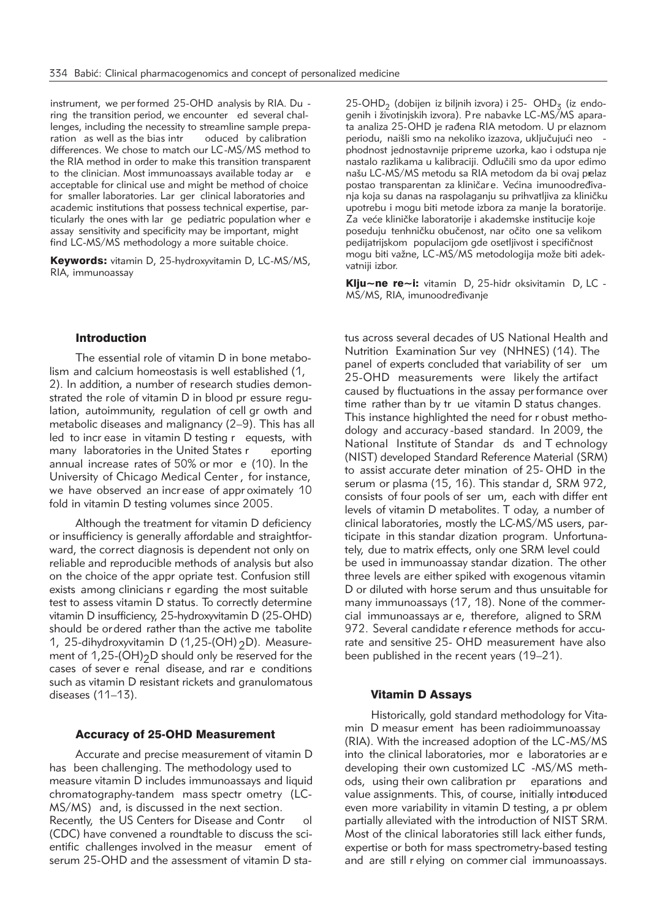instrument, we per formed 25-OHD analysis by RIA. Du ring the transition period, we encounter ed several challenges, including the necessity to streamline sample preparation as well as the bias intr oduced by calibration differences. We chose to match our LC-MS/MS method to the RIA method in order to make this transition transparent to the clinician. Most immunoassays available today ar e acceptable for clinical use and might be method of choice for smaller laboratories. Lar ger clinical laboratories and aca demic institutions that possess technical expertise, particularly the ones with lar ge pediatric population wher e assay sensitivity and specificity may be important, might find LC-MS/MS methodology a more suitable choice.

Keywords: vitamin D, 25-hydroxyvitamin D, LC-MS/MS, RIA, immunoassay

## Introduction

The essential role of vitamin D in bone metabolism and calcium homeostasis is well established (1, 2). In addition, a number of research studies demonstrated the role of vitamin D in blood pr essure regulation, autoimmunity, regulation of cell gr owth and metabolic diseases and malignancy (2–9). This has all led to incr ease in vitamin D testing r equests, with many laboratories in the United States r eporting annual increase rates of 50% or mor e (10). In the University of Chicago Medical Center , for instance, we have observed an incr ease of appr oximately 10 fold in vitamin D testing volumes since 2005.

Although the treatment for vitamin D deficiency or insufficiency is generally affordable and straightforward, the correct diagnosis is dependent not only on reliable and reproducible methods of analysis but also on the choice of the appr opriate test. Confusion still exists among clinicians r egarding the most suitable test to assess vitamin D status. To correctly determine vitamin D insufficiency, 25-hydroxyvitamin D (25-OHD) should be ordered rather than the active me tabolite 1, 25-dihydroxyvitamin D (1,25-(OH)  $2D$ ). Measurement of  $1,25-(OH)2D$  should only be reserved for the cases of sever e renal disease, and rar e conditions such as vitamin D resistant rickets and granulomatous diseases (11–13).

#### Accuracy of 25-OHD Measurement

Accurate and precise measurement of vitamin D has been challenging. The methodology used to measure vitamin D includes immunoassays and liquid chromatography-tandem mass spectr ometry (LC-MS/MS) and, is discussed in the next section. Recently, the US Centers for Disease and Contr ol (CDC) have convened a roundtable to discuss the scientific challenges involved in the measur ement of serum 25-OHD and the assessment of vitamin D sta-

 $25$ -OHD<sub>2</sub> (dobijen iz biljnih izvora) i 25- OHD<sub>3</sub> (iz endogenih i životinjskih izvora). Pre nabavke LC-MS/MS aparata analiza 25-OHD je rađena RIA metodom. U pr elaznom periodu, naišli smo na nekoliko izazova, uključujući neo phodnost jednostavnije pripreme uzorka, kao i odstupa nje nastalo razlikama u kalibraciji. Odlučili smo da upor edimo našu LC-MS/MS metodu sa RIA metodom da bi ovaj prelaz postao transparentan za kliničar e. Većina imunoodređivanja koja su danas na raspolaganju su prihvatljiva za kliničku upotrebu i mogu biti metode izbora za manje la boratorije. Za veće kliničke laboratorije i akademske institucije koje poseduju tenhničku obučenost, nar očito one sa velikom pedijatrijskom populacijom gde osetljivost i specifičnost mogu biti važne, LC-MS/MS metodologija može biti adekvatniji izbor.

Klju~ne re~i: vitamin D, 25-hidr oksivitamin D, LC -MS/MS, RIA, imunoodređivanie

tus across several decades of US National Health and Nutrition Examination Sur vey (NHNES) (14). The panel of experts concluded that variability of ser um 25-OHD measurements were likely the artifact caused by fluctuations in the assay per formance over time rather than by tr ue vitamin D status changes. This instance highlighted the need for r obust methodology and accuracy -based standard. In 2009, the National Institute of Standar ds and T echnology (NIST) developed Standard Reference Material (SRM) to assist accurate deter mination of 25- OHD in the serum or plasma (15, 16). This standar d, SRM 972, consists of four pools of ser um, each with differ ent levels of vitamin D metabolites. T oday, a number of clinical laboratories, mostly the LC-MS/MS users, participate in this standar dization program. Unfortunately, due to matrix effects, only one SRM level could be used in immunoassay standar dization. The other three levels are either spiked with exogenous vitamin D or diluted with horse serum and thus unsuitable for many immunoassays (17, 18). None of the commercial immunoassays ar e, therefore, aligned to SRM 972. Several candidate r eference methods for accurate and sensitive 25- OHD measurement have also been published in the recent years (19–21).

#### Vitamin D Assays

Historically, gold standard methodology for Vitamin D measur ement has been radioimmunoassay (RIA). With the increased adoption of the LC-MS/MS into the clinical laboratories, mor e laboratories ar e de veloping their own customized LC -MS/MS methods, using their own calibration pr eparations and value assignments. This, of course, initially introduced even more variability in vitamin D testing, a pr oblem partially alleviated with the introduction of NIST SRM. Most of the clinical laboratories still lack either funds, expertise or both for mass spectrometry-based testing and are still r elying on commer cial immunoassays.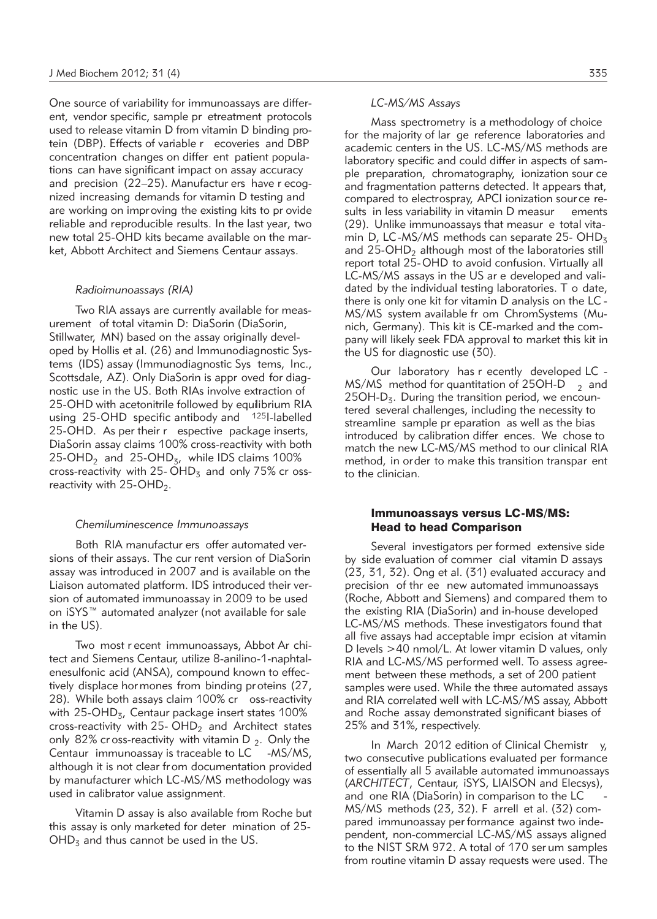One source of variability for immunoassays are different, vendor specific, sample pr etreatment protocols used to release vitamin D from vitamin D binding protein (DBP). Effects of variable r ecoveries and DBP concentration changes on differ ent patient populations can have significant impact on assay accuracy and precision (22–25). Manufactur ers have r ecognized increasing demands for vitamin D testing and are working on improving the existing kits to pr ovide reliable and reproducible results. In the last year, two new total 25-OHD kits became available on the market, Abbott Architect and Siemens Centaur assays.

#### *Radioimunoassays (RIA)*

Two RIA assays are currently available for measurement of total vitamin D: DiaSorin (DiaSorin, Stillwater, MN) based on the assay originally developed by Hollis et al. (26) and Immunodiagnostic Systems (IDS) assay (Immunodiagnostic Sys tems, Inc., Scottsdale, AZ). Only DiaSorin is appr oved for diagnostic use in the US. Both RIAs involve extraction of 25-OHD with acetonitrile followed by equilibrium RIA using  $25$ -OHD specific antibody and  $125$ I-labelled 25-OHD. As per their r espective package inserts, DiaSorin assay claims 100% cross-reactivity with both  $25$ -OHD<sub>2</sub> and  $25$ -OHD<sub>3</sub>, while IDS claims 100% cross-reactivity with 25-  $OHD<sub>3</sub>$  and only 75% cr ossreactivity with  $25$ -OHD<sub>2</sub>.

#### *Chemiluminescence Immunoassays*

Both RIA manufactur ers offer automated versions of their assays. The cur rent version of DiaSorin assay was introduced in 2007 and is available on the Liaison automated platform. IDS introduced their version of automated immunoassay in 2009 to be used on iSYS™ automated analyzer (not available for sale in the US).

Two most r ecent immunoassays, Abbot Ar chitect and Siemens Centaur, utilize 8-anilino-1-naphtalenesulfonic acid (ANSA), compound known to effectively displace hor mones from binding pr oteins (27, 28). While both assays claim 100% cr oss-reactivity with  $25$ -OHD<sub>3</sub>, Centaur package insert states 100% cross-reactivity with 25-  $OHD<sub>2</sub>$  and Architect states only 82% cr oss-reactivity with vitamin  $D_2$ . Only the Centaur immunoassay is traceable to LC -MS/MS, although it is not clear fr om documentation provided by manufacturer which LC-MS/MS methodology was used in calibrator value assignment.

Vitamin D assay is also available from Roche but this assay is only marketed for deter mination of 25-  $OHD<sub>3</sub>$  and thus cannot be used in the US.

## *LC-MS/MS Assays*

Mass spectrometry is a methodology of choice for the majority of lar ge reference laboratories and academic centers in the US. LC-MS/MS methods are laboratory specific and could differ in aspects of sample preparation, chromatography, ionization sour ce and fragmentation patterns detected. It appears that, compared to electrospray, APCI ionization source results in less variability in vitamin D measur ements (29). Unlike immunoassays that measur e total vitamin D, LC-MS/MS methods can separate 25-  $OHD<sub>z</sub>$ and  $25$ -OHD<sub>2</sub> although most of the laboratories still report total 25-OHD to avoid confusion. Virtually all LC-MS/MS assays in the US ar e developed and validated by the individual testing laboratories. T o date, there is only one kit for vitamin D analysis on the LC - MS/MS system available fr om ChromSystems (Munich, Germany). This kit is CE-marked and the company will likely seek FDA approval to market this kit in the US for diagnostic use (30).

Our laboratory has r ecently developed LC - MS/MS method for quantitation of 25OH-D  $_2$  and  $25OH-D<sub>z</sub>$ . During the transition period, we encountered several challenges, including the necessity to streamline sample pr eparation as well as the bias introduced by calibration differ ences. We chose to match the new LC-MS/MS method to our clinical RIA method, in order to make this transition transpar ent to the clinician.

## Immunoassays versus LC-MS/MS: Head to head Comparison

Several investigators per formed extensive side by side evaluation of commer cial vitamin D assays (23, 31, 32). Ong et al. (31) evaluated accuracy and precision of thr ee new automated immunoassays (Roche, Abbott and Siemens) and compared them to the existing RIA (DiaSorin) and in-house developed LC-MS/MS methods. These investigators found that all five assays had acceptable impr ecision at vitamin D levels >40 nmol/L. At lower vitamin D values, only RIA and LC-MS/MS performed well. To assess agreement between these methods, a set of 200 patient samples were used. While the three automated assays and RIA correlated well with LC-MS/MS assay, Abbott and Roche assay demonstrated significant biases of 25% and 31%, respectively.

In March 2012 edition of Clinical Chemistr y, two consecutive publications evaluated per formance of essentially all 5 available automated immunoassays (*ARCHITECT*, Centaur, iSYS, LIAISON and Elecsys), and one RIA (DiaSorin) in comparison to the LC - MS/MS methods (23, 32). F arrell et al. (32) compared immunoassay per formance against two independent, non-commercial LC-MS/MS assays aligned to the NIST SRM 972. A total of 170 ser um samples from routine vitamin D assay requests were used. The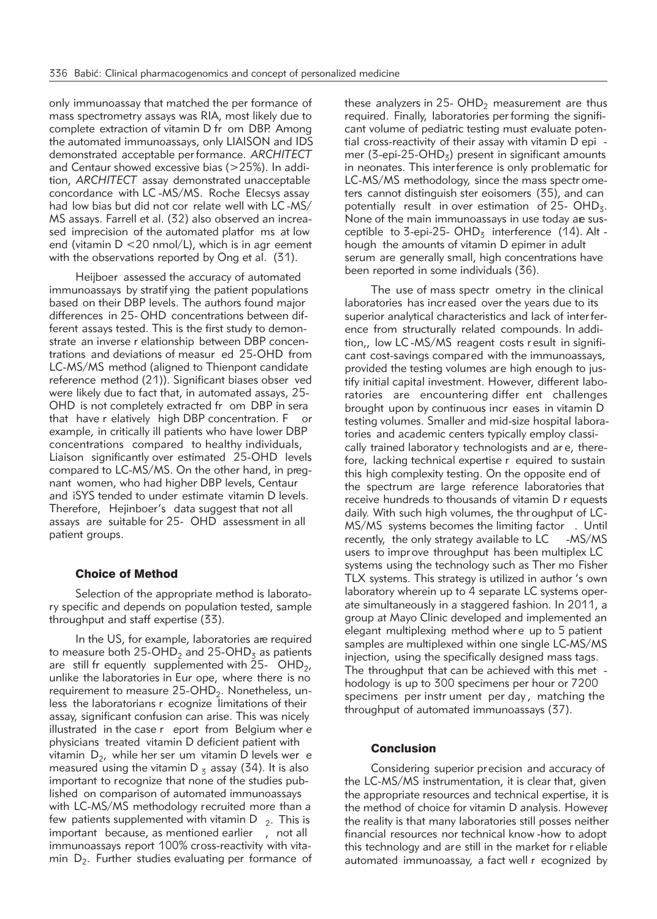only immunoassay that matched the per formance of mass spectrometry assays was RIA, most likely due to complete extraction of vitamin D fr om DBP. Among the automated immunoassays, only LIAISON and IDS demonstrated acceptable per formance. *ARCHITECT* and Centaur showed excessive bias (>25%). In addition, *ARCHITECT* assay demonstrated unacceptable concordance with LC -MS/MS. Roche Elecsys assay had low bias but did not cor relate well with LC -MS/ MS assays. Farrell et al. (32) also observed an increased imprecision of the automated platfor ms at low end (vitamin  $D < 20$  nmol/L), which is in agr eement with the observations reported by Ong et al. (31).

Heijboer assessed the accuracy of automated immunoassays by stratif ying the patient populations based on their DBP levels. The authors found major differences in 25- OHD concentrations between different assays tested. This is the first study to demonstrate an inverse r elationship between DBP concentrations and deviations of measur ed 25-OHD from LC-MS/MS method (aligned to Thienpont candidate reference method (21)). Significant biases obser ved were likely due to fact that, in automated assays, 25- OHD is not completely extracted fr om DBP in sera that have r elatively high DBP concentration. F or example, in critically ill patients who have lower DBP concentrations compared to healthy individuals, Liaison significantly over estimated 25-OHD levels compared to LC-MS/MS. On the other hand, in pregnant women, who had higher DBP levels, Centaur and iSYS tended to under estimate vitamin D levels. Therefore, Hejinboer's data suggest that not all assays are suitable for 25- OHD assessment in all patient groups.

## Choice of Method

Selection of the appropriate method is laboratory specific and depends on population tested, sample throughput and staff expertise (33).

In the US, for example, laboratories are required to measure both 25-OHD<sub>2</sub> and 25-OHD<sub>3</sub> as patients are still fr equently supplemented with  $25-$  OHD<sub>2</sub>, unlike the laboratories in Eur ope, where there is no requirement to measure  $25$ -OHD<sub>2</sub>. Nonetheless, unless the laboratorians r ecognize limitations of their assay, significant confusion can arise. This was nicely illustrated in the case r eport from Belgium wher e physicians treated vitamin D deficient patient with vitamin  $D_2$ , while her ser um vitamin D levels wer e measured using the vitamin D  $_5$  assay (34). It is also important to recognize that none of the studies published on comparison of automated immunoassays with LC-MS/MS methodology recruited more than a few patients supplemented with vitamin D  $_2$ . This is important because, as mentioned earlier , not all immunoassays report 100% cross-reactivity with vitamin  $D_2$ . Further studies evaluating per formance of these analyzers in 25-  $OHD<sub>2</sub>$  measurement are thus required. Finally, laboratories per forming the significant volume of pediatric testing must evaluate potential cross-reactivity of their assay with vitamin D epi mer (3-epi-25-OHD<sub>3</sub>) present in significant amounts in neonates. This interference is only problematic for LC-MS/MS methodology, since the mass spectr ometers cannot distinguish ster eoisomers (35), and can potentially result in over estimation of  $25$ - OHD<sub>3</sub>. None of the main immunoassays in use today are susceptible to 3-epi-25-  $OHD<sub>3</sub>$  interference (14). Alt hough the amounts of vitamin D epimer in adult serum are generally small, high concentrations have been reported in some individuals (36).

The use of mass spectr ometry in the clinical laboratories has incr eased over the years due to its superior analytical characteristics and lack of inter ference from structurally related compounds. In addition,, low LC -MS/MS reagent costs r esult in significant cost-savings compared with the immunoassays, provided the testing volumes are high enough to justify initial capital investment. However, different laboratories are encountering differ ent challenges brought upon by continuous incr eases in vitamin D testing volumes. Smaller and mid-size hospital laboratories and academic centers typically employ classically trained laboratory technologists and are, therefore, lacking technical expertise r equired to sustain this high complexity testing. On the opposite end of the spectrum are large reference laboratories that receive hundreds to thousands of vitamin D r equests daily. With such high volumes, the throughput of LC-MS/MS systems becomes the limiting factor . Until recently, the only strategy available to LC -MS/MS users to impr ove throughput has been multiplex LC systems using the technology such as Ther mo Fisher TLX systems. This strategy is utilized in author 's own laboratory wherein up to 4 separate LC systems operate simultaneously in a staggered fashion. In 2011, a group at Mayo Clinic developed and implemented an elegant multiplexing method where up to 5 patient samples are multiplexed within one single LC-MS/MS injection, using the specifically designed mass tags. The throughput that can be achieved with this met hodology is up to 300 specimens per hour or 7200 specimens per instr ument per day, matching the throughput of automated immunoassays (37).

## Conclusion

Considering superior precision and accuracy of the LC-MS/MS instrumentation, it is clear that, given the appropriate resources and technical expertise, it is the method of choice for vitamin D analysis. However, the reality is that many laboratories still posses neither financial resources nor technical know -how to adopt this technology and are still in the market for r eliable automated immunoassay, a fact well r ecognized by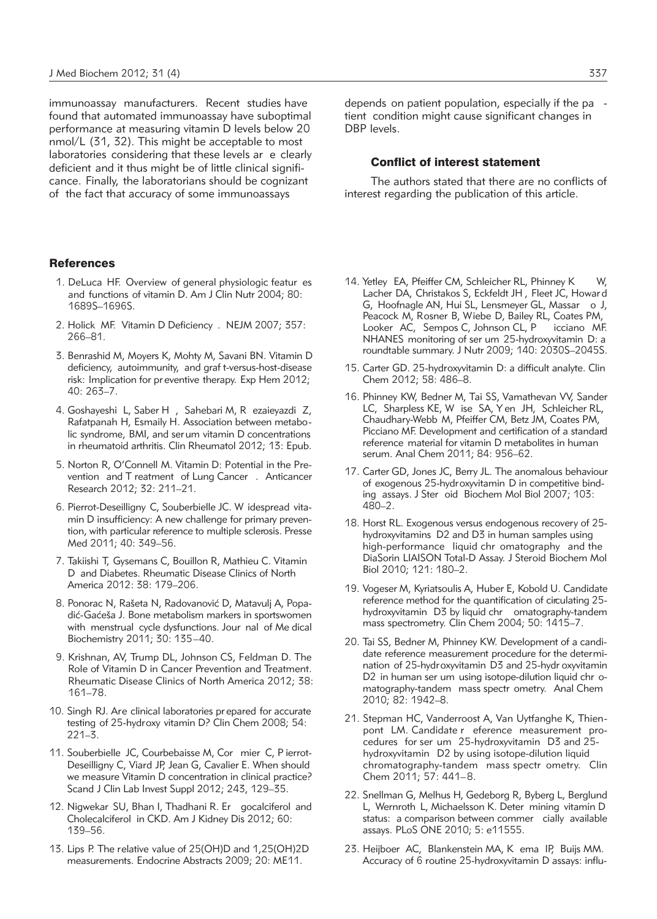immunoassay manufacturers. Recent studies have found that automated immunoassay have suboptimal performance at measuring vitamin D levels below 20 nmol/L (31, 32). This might be acceptable to most laboratories considering that these levels ar e clearly deficient and it thus might be of little clinical significance. Finally, the laboratorians should be cognizant of the fact that accuracy of some immunoassays

## **References**

- 1. DeLuca HF. Overview of general physiologic featur es and functions of vitamin D. Am J Clin Nutr 2004; 80: 1689S–1696S.
- 2. Holick MF. Vitamin D Deficiency . NEJM 2007; 357: 266–81.
- 3. Benrashid M, Moyers K, Mohty M, Savani BN. Vitamin D deficiency, autoimmunity, and graf t-versus-host-disease risk: Implication for pr eventive therapy. Exp Hem 2012; 40: 263–7.
- 4. Goshayeshi L, Saber H , Sahebari M, R ezaieyazdi Z, Rafatpanah H, Esmaily H. Association between metabo lic syndrome, BMI, and serum vitamin D concentrations in rheumatoid arthritis. Clin Rheumatol 2012; 13: Epub.
- 5. Norton R, O'Connell M. Vitamin D: Potential in the Prevention and T reatment of Lung Cancer . Anticancer Research 2012; 32: 211–21.
- 6. Pierrot-Deseilligny C, Souberbielle JC. W idespread vitamin D insufficiency: A new challenge for primary prevention, with particular reference to multiple sclerosis. Presse Med 2011; 40: 349–56.
- 7. Takiishi T, Gysemans C, Bouillon R, Mathieu C. Vitamin D and Diabetes. Rheumatic Disease Clinics of North America 2012: 38: 179–206.
- 8. Ponorac N, Rašeta N, Radovanović D, Matavulj A, Popadić-Gaćeša J. Bone metabolism markers in sportswomen with menstrual cycle dysfunctions. Jour nal of Me dical Biochemistry 2011; 30: 135–40.
- 9. Krishnan, AV, Trump DL, Johnson CS, Feldman D. The Role of Vitamin D in Cancer Prevention and Treatment. Rheumatic Disease Clinics of North America 2012; 38: 161–78.
- 10. Singh RJ. Are clinical laboratories prepared for accurate testing of 25-hydroxy vitamin D? Clin Chem 2008; 54: 221–3.
- 11. Souberbielle JC, Courbebaisse M, Cor mier C, P ierrot-Deseilligny C, Viard JP, Jean G, Cavalier E. When should we measure Vitamin D concentration in clinical practice? Scand J Clin Lab Invest Suppl 2012; 243, 129–35.
- 12. Nigwekar SU, Bhan I, Thadhani R. Er gocalciferol and Cholecalciferol in CKD. Am J Kidney Dis 2012; 60: 139–56.
- 13. Lips P. The relative value of 25(OH)D and 1,25(OH)2D measurements. Endocrine Abstracts 2009; 20: ME11.

depends on patient population, especially if the pa tient condition might cause significant changes in DBP levels.

## Conflict of interest statement

The authors stated that there are no conflicts of interest regarding the publication of this article.

- 14. Yetley EA, Pfeiffer CM, Schleicher RL, Phinney K W, Lacher DA, Christakos S, Eckfeldt JH , Fleet JC, Howar d G, Hoofnagle AN, Hui SL, Lensmeyer GL, Massar o J, Peacock M, Rosner B, Wiebe D, Bailey RL, Coates PM, Looker AC, Sempos C, Johnson CL, P icciano MF. NHANES monitoring of ser um 25-hydroxyvitamin D: a roundtable summary. J Nutr 2009; 140: 2030S–2045S.
- 15. Carter GD. 25-hydroxyvitamin D: a difficult analyte. Clin Chem 2012; 58: 486–8.
- 16. Phinney KW, Bedner M, Tai SS, Vamathevan VV, Sander LC, Sharpless KE, W ise SA, Y en JH, Schleicher RL, Chaudhary-Webb M, Pfeiffer CM, Betz JM, Coates PM, Picciano MF. Development and certification of a standard reference material for vitamin D metabolites in human serum. Anal Chem 2011; 84: 956–62.
- 17. Carter GD, Jones JC, Berry JL. The anomalous behaviour of exogenous 25-hydroxyvitamin D in competitive binding assays. J Ster oid Biochem Mol Biol 2007; 103: 480–2.
- 18. Horst RL. Exogenous versus endogenous recovery of 25 hydroxyvitamins D2 and D3 in human samples using high-performance liquid chr omatography and the DiaSorin LIAISON Total-D Assay. J Steroid Biochem Mol Biol 2010; 121: 180–2.
- 19. Vogeser M, Kyriatsoulis A, Huber E, Kobold U. Candidate reference method for the quantification of circulating 25 hydroxyvitamin D3 by liquid chr omatography-tandem mass spectrometry. Clin Chem 2004; 50: 1415–7.
- 20. Tai SS, Bedner M, Phinney KW. Development of a candidate reference measurement procedure for the determination of 25-hydroxyvitamin D3 and 25-hydr oxyvitamin D2 in human ser um using isotope-dilution liquid chr omatography-tandem mass spectr ometry. Anal Chem 2010; 82: 1942–8.
- 21. Stepman HC, Vanderroost A, Van Uytfanghe K, Thien pont LM. Candidate r eference measurement procedures for ser um 25-hydroxyvitamin D3 and 25 hydroxyvitamin D2 by using isotope-dilution liquid chromatography-tandem mass spectr ometry. Clin Chem 2011; 57: 441–8.
- 22. Snellman G, Melhus H, Gedeborg R, Byberg L, Berglund L, Wernroth L, Michaelsson K. Deter mining vitamin D status: a comparison between commer cially available assays. PLoS ONE 2010; 5: e11555.
- 23. Heijboer AC, Blankenstein MA, K ema IP, Buijs MM. Accuracy of 6 routine 25-hydroxyvitamin D assays: influ-